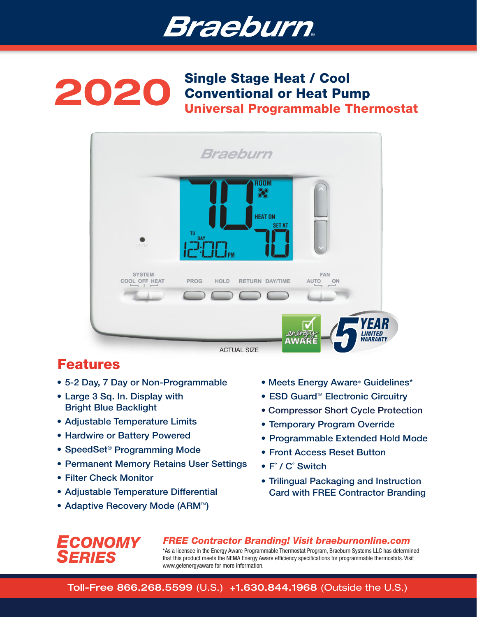

## 2020 Single Stage Heat / Cool Conventional or Heat Pump Universal Programmable Thermostat



# Features

- 5-2 Day, 7 Day or Non-Programmable
- Large 3 Sq. In. Display with Bright Blue Backlight
- Adjustable Temperature Limits
- Hardwire or Battery Powered
- SpeedSet® Programming Mode
- Permanent Memory Retains User Settings
- Filter Check Monitor

*ECONOMY*

*SERIES*

- Adjustable Temperature Differential
- Adaptive Recovery Mode (ARM<sup>™</sup>)
- Meets Energy Aware® Guidelines\*
- ESD Guard<sup>™</sup> Electronic Circuitry
- Compressor Short Cycle Protection
- Temporary Program Override
- Programmable Extended Hold Mode
- Front Access Reset Button
- F˚ / C˚ Switch
- Trilingual Packaging and Instruction Card with FREE Contractor Branding

*FREE Contractor Branding! Visit braeburnonline.com* \*As a licensee in the Energy Aware Programmable Thermostat Program, Braeburn Systems LLC has determined that this product meets the NEMA Energy Aware efficiency specifications for programmable thermostats. Visit www.getenergyaware for more information.

Toll-Free 866.268.5599 (U.S.) +1.630.844.1968 (Outside the U.S.)